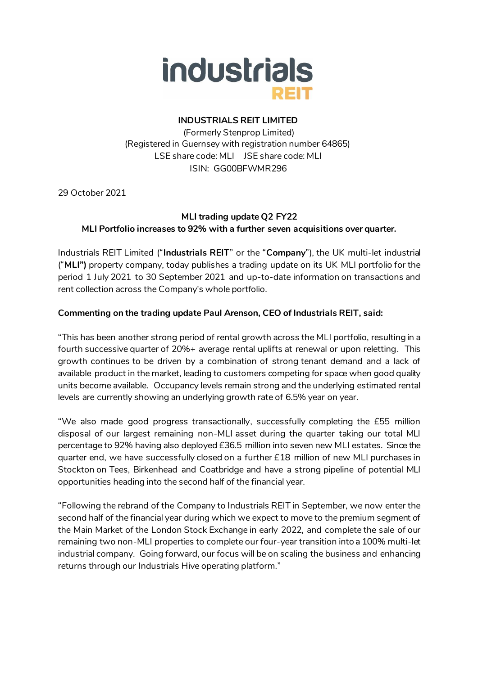

## **INDUSTRIALS REIT LIMITED**

(Formerly Stenprop Limited) (Registered in Guernsey with registration number 64865) LSE share code: MLI JSE share code: MLI ISIN: GG00BFWMR296

29 October 2021

# **MLI trading update Q2 FY22 MLI Portfolio increases to 92% with a further seven acquisitions over quarter.**

Industrials REIT Limited ("**Industrials REIT**" or the "**Company**"), the UK multi-let industrial ("**MLI")** property company, today publishes a trading update on its UK MLI portfolio for the period 1 July 2021 to 30 September 2021 and up-to-date information on transactions and rent collection across the Company's whole portfolio.

### **Commenting on the trading update Paul Arenson, CEO of Industrials REIT, said:**

"This has been another strong period of rental growth across the MLI portfolio, resulting in a fourth successive quarter of 20%+ average rental uplifts at renewal or upon reletting. This growth continues to be driven by a combination of strong tenant demand and a lack of available product in the market, leading to customers competing for space when good quality units become available. Occupancy levels remain strong and the underlying estimated rental levels are currently showing an underlying growth rate of 6.5% year on year.

"We also made good progress transactionally, successfully completing the £55 million disposal of our largest remaining non-MLI asset during the quarter taking our total MLI percentage to 92% having also deployed £36.5 million into seven new MLI estates. Since the quarter end, we have successfully closed on a further £18 million of new MLI purchases in Stockton on Tees, Birkenhead and Coatbridge and have a strong pipeline of potential MLI opportunities heading into the second half of the financial year.

"Following the rebrand of the Company to Industrials REIT in September, we now enter the second half of the financial year during which we expect to move to the premium segment of the Main Market of the London Stock Exchange in early 2022, and complete the sale of our remaining two non-MLI properties to complete our four-year transition into a 100% multi-let industrial company. Going forward, our focus will be on scaling the business and enhancing returns through our Industrials Hive operating platform."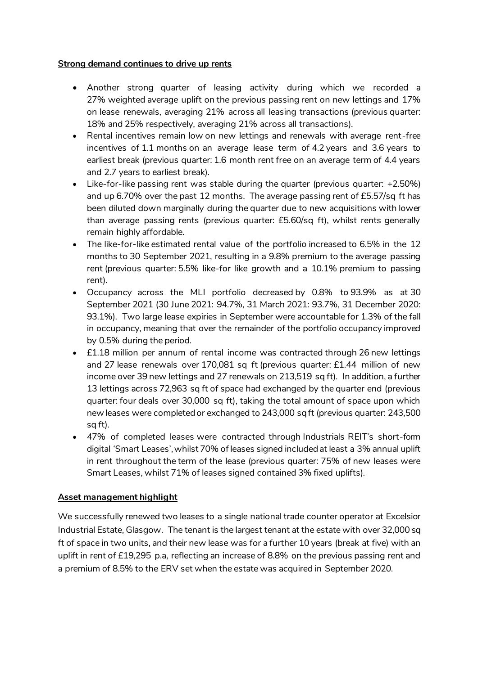### **Strong demand continues to drive up rents**

- Another strong quarter of leasing activity during which we recorded a 27% weighted average uplift on the previous passing rent on new lettings and 17% on lease renewals, averaging 21% across all leasing transactions (previous quarter: 18% and 25% respectively, averaging 21% across all transactions).
- Rental incentives remain low on new lettings and renewals with average rent-free incentives of 1.1 months on an average lease term of 4.2 years and 3.6 years to earliest break (previous quarter: 1.6 month rent free on an average term of 4.4 years and 2.7 years to earliest break).
- Like-for-like passing rent was stable during the quarter (previous quarter: +2.50%) and up 6.70% over the past 12 months. The average passing rent of £5.57/sq ft has been diluted down marginally during the quarter due to new acquisitions with lower than average passing rents (previous quarter: £5.60/sq ft), whilst rents generally remain highly affordable.
- The like-for-like estimated rental value of the portfolio increased to 6.5% in the 12 months to 30 September 2021, resulting in a 9.8% premium to the average passing rent (previous quarter: 5.5% like-for like growth and a 10.1% premium to passing rent).
- Occupancy across the MLI portfolio decreased by 0.8% to 93.9% as at 30 September 2021 (30 June 2021: 94.7%, 31 March 2021: 93.7%, 31 December 2020: 93.1%). Two large lease expiries in September were accountable for 1.3% of the fall in occupancy, meaning that over the remainder of the portfolio occupancy improved by 0.5% during the period.
- £1.18 million per annum of rental income was contracted through 26 new lettings and 27 lease renewals over 170,081 sq ft (previous quarter: £1.44 million of new income over 39 new lettings and 27 renewals on 213,519 sq ft). In addition, a further 13 lettings across 72,963 sq ft of space had exchanged by the quarter end (previous quarter: four deals over 30,000 sq ft), taking the total amount of space upon which new leases were completed or exchanged to 243,000 sq ft (previous quarter: 243,500 sq ft).
- 47% of completed leases were contracted through Industrials REIT's short-form digital 'Smart Leases', whilst 70% of leases signed included at least a 3% annual uplift in rent throughout the term of the lease (previous quarter: 75% of new leases were Smart Leases, whilst 71% of leases signed contained 3% fixed uplifts).

## **Asset management highlight**

We successfully renewed two leases to a single national trade counter operator at Excelsior Industrial Estate, Glasgow. The tenant is the largest tenant at the estate with over 32,000 sq ft of space in two units, and their new lease was for a further 10 years (break at five) with an uplift in rent of £19,295 p.a, reflecting an increase of 8.8% on the previous passing rent and a premium of 8.5% to the ERV set when the estate was acquired in September 2020.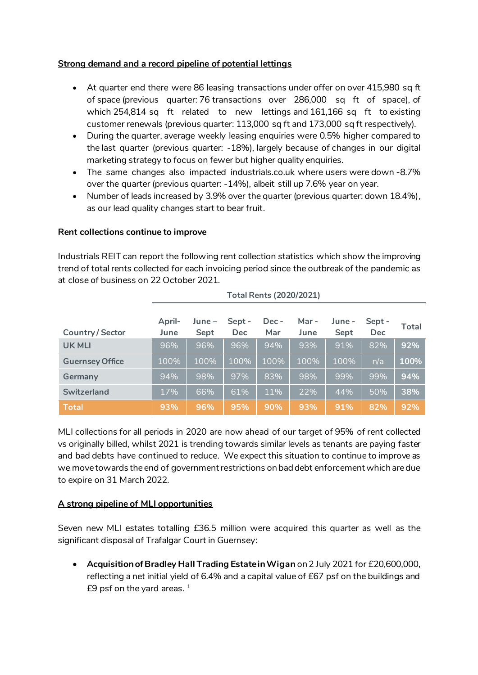## **Strong demand and a record pipeline of potential lettings**

- At quarter end there were 86 leasing transactions under offer on over 415,980 sq ft of space (previous quarter: 76 transactions over 286,000 sq ft of space), of which 254,814 sq ft related to new lettings and 161,166 sq ft to existing customer renewals (previous quarter: 113,000 sq ft and 173,000 sq ft respectively).
- During the quarter, average weekly leasing enquiries were 0.5% higher compared to the last quarter (previous quarter: -18%), largely because of changes in our digital marketing strategy to focus on fewer but higher quality enquiries.
- The same changes also impacted industrials.co.uk where users were down -8.7% over the quarter (previous quarter: -14%), albeit still up 7.6% year on year.
- Number of leads increased by 3.9% over the quarter (previous quarter: down 18.4%), as our lead quality changes start to bear fruit.

### **Rent collections continue to improve**

Industrials REIT can report the following rent collection statistics which show the improving trend of total rents collected for each invoicing period since the outbreak of the pandemic as at close of business on 22 October 2021.

**Total Rents (2020/2021)**

|                        | TULAI NEITIS (ZUZU/ZUZI) |                  |                      |              |              |                |                      |       |
|------------------------|--------------------------|------------------|----------------------|--------------|--------------|----------------|----------------------|-------|
| <b>Country/Sector</b>  | April-<br>June           | $June -$<br>Sept | Sept -<br><b>Dec</b> | Dec -<br>Mar | Mar-<br>June | June –<br>Sept | Sept -<br><b>Dec</b> | Total |
| <b>UK MLI</b>          | 96%                      | 96%              | 96%                  | 94%          | 93%          | 91%            | 82%                  | 92%   |
| <b>Guernsey Office</b> | 100%                     | 100%             | 100%                 | 100%         | 100%         | 100%           | n/a                  | 100%  |
| Germany                | 94%                      | 98%              | 97%                  | 83%          | 98%          | 99%            | 99%                  | 94%   |
| <b>Switzerland</b>     | 17%                      | 66%              | 61%                  | 11%          | 22%          | 44%            | 50%                  | 38%   |
| <b>Total</b>           | 93%                      | 96%              | 95%                  | 90%          | 93%          | 91%            | 82%                  | 92%   |

MLI collections for all periods in 2020 are now ahead of our target of 95% of rent collected vs originally billed, whilst 2021 is trending towards similar levels as tenants are paying faster and bad debts have continued to reduce. We expect this situation to continue to improve as we move towards the end of government restrictions on bad debt enforcement which are due to expire on 31 March 2022.

### **A strong pipeline of MLI opportunities**

Seven new MLI estates totalling £36.5 million were acquired this quarter as well as the significant disposal of Trafalgar Court in Guernsey:

• **Acquisition of Bradley Hall Trading Estate in Wigan** on 2 July 2021 for £20,600,000, reflecting a net initial yield of 6.4% and a capital value of £67 psf on the buildings and £9 psf on the yard areas.  $^{\rm 1}$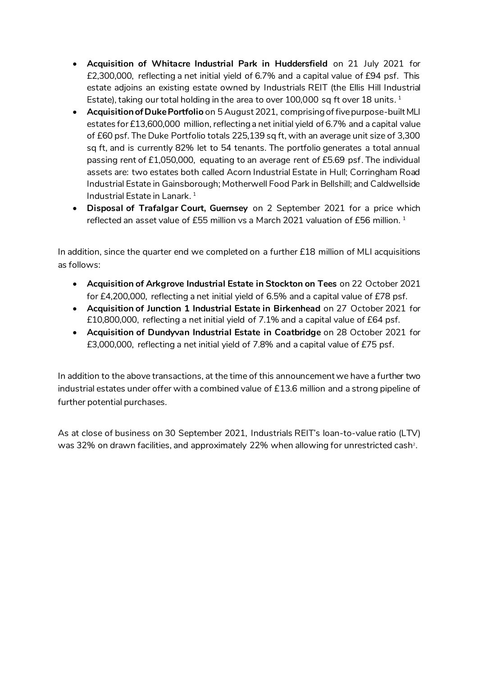- **Acquisition of Whitacre Industrial Park in Huddersfield** on 21 July 2021 for £2,300,000, reflecting a net initial yield of 6.7% and a capital value of £94 psf. This estate adjoins an existing estate owned by Industrials REIT (the Ellis Hill Industrial Estate), taking our total holding in the area to over 100,000 <code>sq</code> ft over 18 units.  $^{\rm 1}$
- **Acquisition of Duke Portfolio** on 5 August 2021, comprising of five purpose-built MLI estates for £13,600,000 million, reflecting a net initial yield of 6.7% and a capital value of £60 psf. The Duke Portfolio totals 225,139 sq ft, with an average unit size of 3,300 sq ft, and is currently 82% let to 54 tenants. The portfolio generates a total annual passing rent of £1,050,000, equating to an average rent of £5.69 psf. The individual assets are: two estates both called Acorn Industrial Estate in Hull; Corringham Road Industrial Estate in Gainsborough; Motherwell Food Park in Bellshill; and Caldwellside Industrial Estate in Lanark. 1
- **Disposal of Trafalgar Court, Guernsey** on 2 September 2021 for a price which reflected an asset value of £55 million vs a March 2021 valuation of £56 million. <sup>1</sup>

In addition, since the quarter end we completed on a further £18 million of MLI acquisitions as follows:

- **Acquisition of Arkgrove Industrial Estate in Stockton on Tees** on 22 October 2021 for £4,200,000, reflecting a net initial yield of 6.5% and a capital value of £78 psf.
- **Acquisition of Junction 1 Industrial Estate in Birkenhead** on 27 October 2021 for £10,800,000, reflecting a net initial yield of 7.1% and a capital value of £64 psf.
- **Acquisition of Dundyvan Industrial Estate in Coatbridge** on 28 October 2021 for £3,000,000, reflecting a net initial yield of 7.8% and a capital value of £75 psf.

In addition to the above transactions, at the time of this announcement we have a further two industrial estates under offer with a combined value of £13.6 million and a strong pipeline of further potential purchases.

As at close of business on 30 September 2021, Industrials REIT's loan-to-value ratio (LTV) was 32% on drawn facilities, and approximately 22% when allowing for unrestricted cash $^{\rm 2}$ .